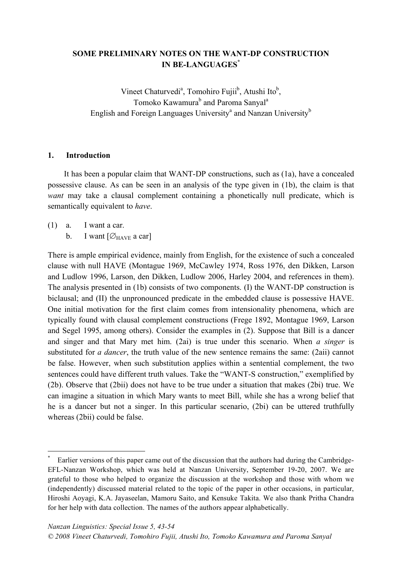# **SOME PRELIMINARY NOTES ON THE WANT-DP CONSTRUCTION IN BE-LANGUAGES\***

Vineet Chaturvedi<sup>a</sup>, Tomohiro Fujii<sup>b</sup>, Atushi Ito<sup>b</sup>, Tomoko Kawamura<sup>b</sup> and Paroma Sanyal<sup>a</sup> English and Foreign Languages University<sup>a</sup> and Nanzan University<sup>b</sup>

#### **1. Introduction**

It has been a popular claim that WANT-DP constructions, such as (1a), have a concealed possessive clause. As can be seen in an analysis of the type given in (1b), the claim is that *want* may take a clausal complement containing a phonetically null predicate, which is semantically equivalent to *have*.

- (1) a. I want a car.
	- b. I want  $[\emptyset_{\text{HAVE}}]$  a car]

There is ample empirical evidence, mainly from English, for the existence of such a concealed clause with null HAVE (Montague 1969, McCawley 1974, Ross 1976, den Dikken, Larson and Ludlow 1996, Larson, den Dikken, Ludlow 2006, Harley 2004, and references in them). The analysis presented in (1b) consists of two components. (I) the WANT-DP construction is biclausal; and (II) the unpronounced predicate in the embedded clause is possessive HAVE. One initial motivation for the first claim comes from intensionality phenomena, which are typically found with clausal complement constructions (Frege 1892, Montague 1969, Larson and Segel 1995, among others). Consider the examples in (2). Suppose that Bill is a dancer and singer and that Mary met him. (2ai) is true under this scenario. When *a singer* is substituted for *a dancer*, the truth value of the new sentence remains the same: (2aii) cannot be false. However, when such substitution applies within a sentential complement, the two sentences could have different truth values. Take the "WANT-S construction," exemplified by (2b). Observe that (2bii) does not have to be true under a situation that makes (2bi) true. We can imagine a situation in which Mary wants to meet Bill, while she has a wrong belief that he is a dancer but not a singer. In this particular scenario, (2bi) can be uttered truthfully whereas (2bii) could be false.

Earlier versions of this paper came out of the discussion that the authors had during the Cambridge-EFL-Nanzan Workshop, which was held at Nanzan University, September 19-20, 2007. We are grateful to those who helped to organize the discussion at the workshop and those with whom we (independently) discussed material related to the topic of the paper in other occasions, in particular, Hiroshi Aoyagi, K.A. Jayaseelan, Mamoru Saito, and Kensuke Takita. We also thank Pritha Chandra for her help with data collection. The names of the authors appear alphabetically.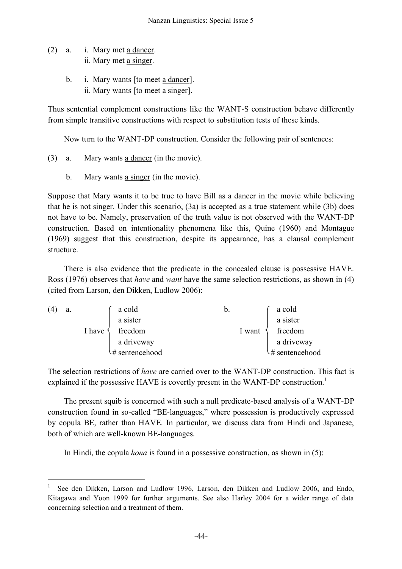- (2) a. i. Mary met a dancer. ii. Mary met a singer.
	- b. i. Mary wants [to meet a dancer]. ii. Mary wants [to meet a singer].

Thus sentential complement constructions like the WANT-S construction behave differently from simple transitive constructions with respect to substitution tests of these kinds.

Now turn to the WANT-DP construction. Consider the following pair of sentences:

- (3) a. Mary wants a dancer (in the movie).
	- b. Mary wants a singer (in the movie).

Suppose that Mary wants it to be true to have Bill as a dancer in the movie while believing that he is not singer. Under this scenario, (3a) is accepted as a true statement while (3b) does not have to be. Namely, preservation of the truth value is not observed with the WANT-DP construction. Based on intentionality phenomena like this, Quine (1960) and Montague (1969) suggest that this construction, despite its appearance, has a clausal complement structure.

There is also evidence that the predicate in the concealed clause is possessive HAVE. Ross (1976) observes that *have* and *want* have the same selection restrictions, as shown in (4) (cited from Larson, den Dikken, Ludlow 2006):

| (4) | a. |        | a cold         | $\mathfrak{b}$ . | a cold         |
|-----|----|--------|----------------|------------------|----------------|
|     |    |        | a sister       |                  | a sister       |
|     |    | I have | freedom        | 1 want           | freedom        |
|     |    |        | a driveway     |                  | a driveway     |
|     |    |        | # sentencehood |                  | # sentencehood |

The selection restrictions of *have* are carried over to the WANT-DP construction. This fact is explained if the possessive HAVE is covertly present in the WANT-DP construction.<sup>1</sup>

The present squib is concerned with such a null predicate-based analysis of a WANT-DP construction found in so-called "BE-languages," where possession is productively expressed by copula BE, rather than HAVE. In particular, we discuss data from Hindi and Japanese, both of which are well-known BE-languages.

In Hindi, the copula *hona* is found in a possessive construction, as shown in (5):

See den Dikken, Larson and Ludlow 1996, Larson, den Dikken and Ludlow 2006, and Endo, Kitagawa and Yoon 1999 for further arguments. See also Harley 2004 for a wider range of data concerning selection and a treatment of them.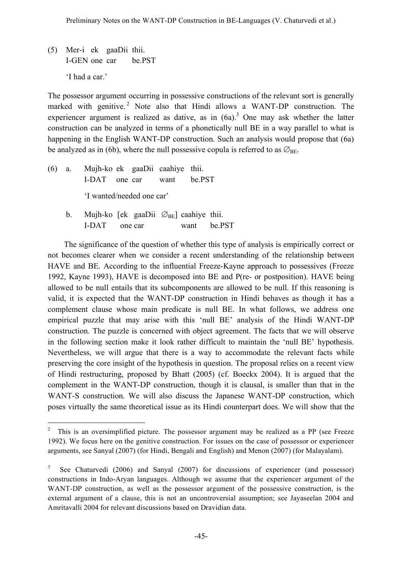(5) Mer-i ek gaaDii thii. I-GEN one car be.PST 'I had a car.'

The possessor argument occurring in possessive constructions of the relevant sort is generally marked with genitive. <sup>2</sup> Note also that Hindi allows a WANT*-*DP construction. The experiencer argument is realized as dative, as in  $(6a)$ .<sup>3</sup> One may ask whether the latter construction can be analyzed in terms of a phonetically null BE in a way parallel to what is happening in the English WANT-DP construction. Such an analysis would propose that (6a) be analyzed as in (6b), where the null possessive copula is referred to as  $\varnothing_{\text{BE}}$ .

- (6) a. Mujh-ko ek gaaDii caahiye thii. I-DAT one car want be.PST 'I wanted/needed one car'
	- b. Mujh-ko [ek gaaDii  $\varnothing_{BE}$ ] caahiye thii. I-DAT one car want be.PST

The significance of the question of whether this type of analysis is empirically correct or not becomes clearer when we consider a recent understanding of the relationship between HAVE and BE. According to the influential Freeze-Kayne approach to possessives (Freeze 1992, Kayne 1993), HAVE is decomposed into BE and P(re- or postposition). HAVE being allowed to be null entails that its subcomponents are allowed to be null. If this reasoning is valid, it is expected that the WANT-DP construction in Hindi behaves as though it has a complement clause whose main predicate is null BE. In what follows, we address one empirical puzzle that may arise with this 'null BE' analysis of the Hindi WANT-DP construction. The puzzle is concerned with object agreement. The facts that we will observe in the following section make it look rather difficult to maintain the 'null BE' hypothesis. Nevertheless, we will argue that there is a way to accommodate the relevant facts while preserving the core insight of the hypothesis in question. The proposal relies on a recent view of Hindi restructuring, proposed by Bhatt (2005) (cf. Boeckx 2004). It is argued that the complement in the WANT-DP construction, though it is clausal, is smaller than that in the WANT-S construction. We will also discuss the Japanese WANT-DP construction, which poses virtually the same theoretical issue as its Hindi counterpart does. We will show that the

 $2$  This is an oversimplified picture. The possessor argument may be realized as a PP (see Freeze 1992). We focus here on the genitive construction. For issues on the case of possessor or experiencer arguments, see Sanyal (2007) (for Hindi, Bengali and English) and Menon (2007) (for Malayalam).

See Chaturvedi (2006) and Sanyal (2007) for discussions of experiencer (and possessor) constructions in Indo-Aryan languages. Although we assume that the experiencer argument of the WANT-DP construction, as well as the possessor argument of the possessive construction, is the external argument of a clause, this is not an uncontroversial assumption; see Jayaseelan 2004 and Amritavalli 2004 for relevant discussions based on Dravidian data.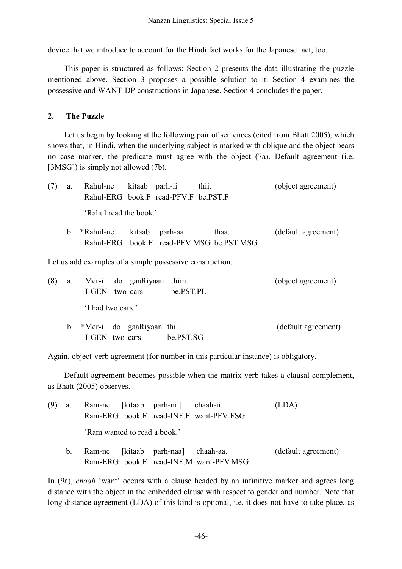device that we introduce to account for the Hindi fact works for the Japanese fact, too.

This paper is structured as follows: Section 2 presents the data illustrating the puzzle mentioned above. Section 3 proposes a possible solution to it. Section 4 examines the possessive and WANT-DP constructions in Japanese. Section 4 concludes the paper.

## **2. The Puzzle**

Let us begin by looking at the following pair of sentences (cited from Bhatt 2005), which shows that, in Hindi, when the underlying subject is marked with oblique and the object bears no case marker, the predicate must agree with the object (7a). Default agreement (i.e. [3MSG]) is simply not allowed (7b).

| a.      | Rahul-ne kitaab parh-ii                                  |        |                                      | thii.                                    | (object agreement)  |
|---------|----------------------------------------------------------|--------|--------------------------------------|------------------------------------------|---------------------|
|         |                                                          |        | Rahul-ERG book.F read-PFV.F be.PST.F |                                          |                     |
|         | 'Rahul read the book.'                                   |        |                                      |                                          |                     |
| $b_{-}$ | *Rahul-ne                                                | kitaab | parh-aa                              | thaa.                                    | (default agreement) |
|         |                                                          |        |                                      | Rahul-ERG book.F read-PFV.MSG be.PST.MSG |                     |
|         | Let us add examples of a simple possessive construction. |        |                                      |                                          |                     |

| (8) | а. |                  |                | Mer-i do gaaRiyaan thiin.    |  | (object agreement)  |
|-----|----|------------------|----------------|------------------------------|--|---------------------|
|     |    |                  | I-GEN two cars | be.PST.PL                    |  |                     |
|     |    | I had two cars.' |                |                              |  |                     |
|     |    |                  |                | b. *Mer-i do gaaRiyaan thii. |  | (default agreement) |

Again, object-verb agreement (for number in this particular instance) is obligatory.

I-GEN two cars be.PST.SG

Default agreement becomes possible when the matrix verb takes a clausal complement, as Bhatt (2005) observes.

| (9) | a.      |                              |  | Ram-ne [kitaab parh-nii] chaah-ii. |                                        | (LDA)               |  |  |
|-----|---------|------------------------------|--|------------------------------------|----------------------------------------|---------------------|--|--|
|     |         |                              |  |                                    | Ram-ERG book.F read-INF.F want-PFV.FSG |                     |  |  |
|     |         | 'Ram wanted to read a book.' |  |                                    |                                        |                     |  |  |
|     | $b_{-}$ |                              |  | Ram-ne [kitaab parh-naa] chaah-aa. |                                        | (default agreement) |  |  |
|     |         |                              |  |                                    | Ram-ERG book.F read-INF.M want-PFV MSG |                     |  |  |

In (9a), *chaah* 'want' occurs with a clause headed by an infinitive marker and agrees long distance with the object in the embedded clause with respect to gender and number. Note that long distance agreement (LDA) of this kind is optional, i.e. it does not have to take place, as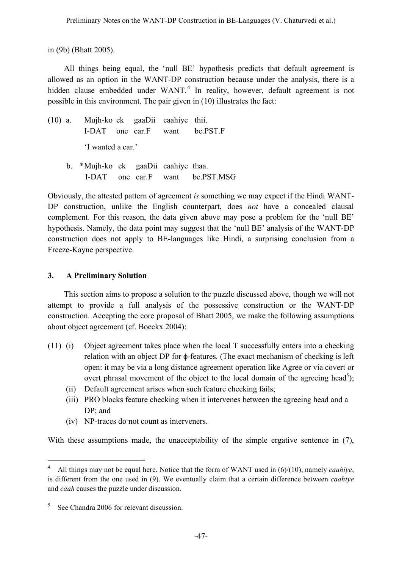in (9b) (Bhatt 2005).

All things being equal, the 'null BE' hypothesis predicts that default agreement is allowed as an option in the WANT-DP construction because under the analysis, there is a hidden clause embedded under WANT.<sup>4</sup> In reality, however, default agreement is not possible in this environment. The pair given in (10) illustrates the fact:

- (10) a. Mujh-ko ek gaaDii caahiye thii. I-DAT one car.F want be.PST.F 'I wanted a car.'
	- b. \*Mujh-ko ek gaaDii caahiye thaa. I-DAT one car.F want be.PST.MSG

Obviously, the attested pattern of agreement *is* something we may expect if the Hindi WANT-DP construction, unlike the English counterpart, does *not* have a concealed clausal complement. For this reason, the data given above may pose a problem for the 'null BE' hypothesis. Namely, the data point may suggest that the 'null BE' analysis of the WANT-DP construction does not apply to BE-languages like Hindi, a surprising conclusion from a Freeze-Kayne perspective.

## **3. A Preliminary Solution**

This section aims to propose a solution to the puzzle discussed above, though we will not attempt to provide a full analysis of the possessive construction or the WANT-DP construction. Accepting the core proposal of Bhatt 2005, we make the following assumptions about object agreement (cf. Boeckx 2004):

- (11) (i) Object agreement takes place when the local T successfully enters into a checking relation with an object DP for φ-features. (The exact mechanism of checking is left open: it may be via a long distance agreement operation like Agree or via covert or overt phrasal movement of the object to the local domain of the agreeing head<sup>5</sup>);
	- (ii) Default agreement arises when such feature checking fails;
	- (iii) PRO blocks feature checking when it intervenes between the agreeing head and a DP; and
	- (iv) NP-traces do not count as interveners.

With these assumptions made, the unacceptability of the simple ergative sentence in (7),

 <sup>4</sup> All things may not be equal here. Notice that the form of WANT used in (6)/(10), namely *caahiye*, is different from the one used in (9). We eventually claim that a certain difference between *caahiye* and *caah* causes the puzzle under discussion.

 $5$  See Chandra 2006 for relevant discussion.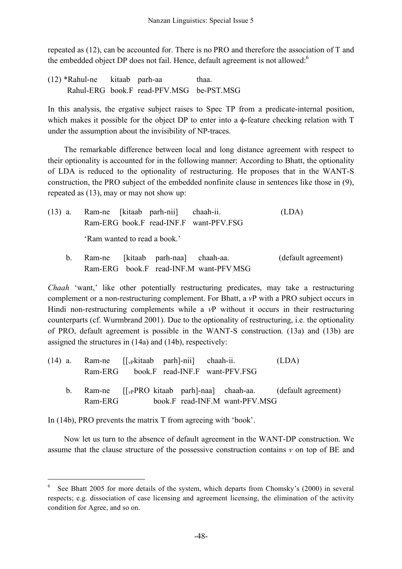repeated as (12), can be accounted for. There is no PRO and therefore the association of T and the embedded object DP does not fail. Hence, default agreement is not allowed:<sup>6</sup>

(12) \*Rahul-ne kitaab parh-aa thaa. Rahul-ERG book.F read-PFV.MSG be-PST.MSG

In this analysis, the ergative subject raises to Spec TP from a predicate-internal position, which makes it possible for the object DP to enter into a φ-feature checking relation with T under the assumption about the invisibility of NP-traces.

The remarkable difference between local and long distance agreement with respect to their optionality is accounted for in the following manner: According to Bhatt, the optionality of LDA is reduced to the optionality of restructuring. He proposes that in the WANT-S construction, the PRO subject of the embedded nonfinite clause in sentences like those in (9), repeated as (13), may or may not show up:

| $(13)$ a.   | Ram-ne [kitaab parh-nii] chaah-ii.<br>Ram-ERG book.F read-INF.F want-PFV.FSG |  |  | (LDA)               |  |  |
|-------------|------------------------------------------------------------------------------|--|--|---------------------|--|--|
|             | 'Ram wanted to read a book.'                                                 |  |  |                     |  |  |
| $b_{\cdot}$ | Ram-ne [kitaab parh-naa] chaah-aa.<br>Ram-ERG book.F read-INF.M want-PFVMSG  |  |  | (default agreement) |  |  |

*Chaah* 'want,' like other potentially restructuring predicates, may take a restructuring complement or a non-restructuring complement. For Bhatt, a *v*P with a PRO subject occurs in Hindi non-restructuring complements while a *v*P without it occurs in their restructuring counterparts (cf. Wurmbrand 2001). Due to the optionality of restructuring, i.e. the optionality of PRO, default agreement is possible in the WANT-S construction. (13a) and (13b) are assigned the structures in (14a) and (14b), respectively:

|  |                                        |  | $(14)$ a. Ram-ne $[[v]$ kitaab parh]-nii chaah-ii. |  |                                | (LDA)                                                                   |
|--|----------------------------------------|--|----------------------------------------------------|--|--------------------------------|-------------------------------------------------------------------------|
|  | Ram-ERG book.F read-INF.F want-PFV.FSG |  |                                                    |  |                                |                                                                         |
|  |                                        |  |                                                    |  |                                | b. Ram-ne $[\int_{v}$ PRO kitaab parh aal chaah-aa. (default agreement) |
|  | Ram-ERG                                |  |                                                    |  | book.F read-INF.M want-PFV.MSG |                                                                         |

In (14b), PRO prevents the matrix T from agreeing with 'book'.

Now let us turn to the absence of default agreement in the WANT-DP construction. We assume that the clause structure of the possessive construction contains *v* on top of BE and

See Bhatt 2005 for more details of the system, which departs from Chomsky's (2000) in several respects; e.g. dissociation of case licensing and agreement licensing, the elimination of the activity condition for Agree, and so on.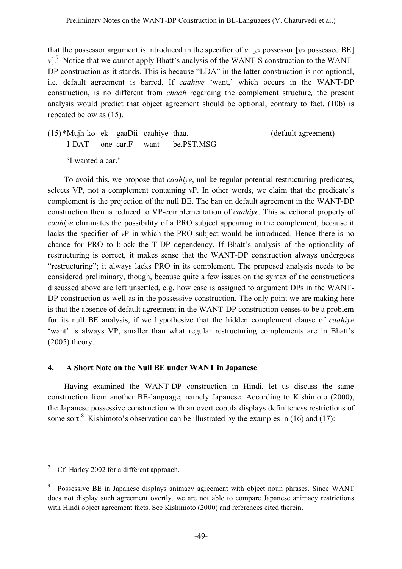that the possessor argument is introduced in the specifier of *v*:  $\lceil v \rceil$  possessor  $\lceil v \rceil$  possessee BE] *v*].<sup>7</sup> Notice that we cannot apply Bhatt's analysis of the WANT-S construction to the WANT-DP construction as it stands. This is because "LDA" in the latter construction is not optional, i.e. default agreement is barred. If *caahiye* 'want,' which occurs in the WANT-DP construction, is no different from *chaah* regarding the complement structure*,* the present analysis would predict that object agreement should be optional, contrary to fact. (10b) is repeated below as (15).

(15) \*Mujh-ko ek gaaDii caahiye thaa. (default agreement) I-DAT one car.F want be.PST.MSG 'I wanted a car.'

To avoid this, we propose that *caahiye*, unlike regular potential restructuring predicates, selects VP, not a complement containing *v*P. In other words, we claim that the predicate's complement is the projection of the null BE. The ban on default agreement in the WANT-DP construction then is reduced to VP-complementation of *caahiye*. This selectional property of *caahiye* eliminates the possibility of a PRO subject appearing in the complement, because it lacks the specifier of *v*P in which the PRO subject would be introduced. Hence there is no chance for PRO to block the T-DP dependency. If Bhatt's analysis of the optionality of restructuring is correct, it makes sense that the WANT-DP construction always undergoes "restructuring"; it always lacks PRO in its complement. The proposed analysis needs to be considered preliminary, though, because quite a few issues on the syntax of the constructions discussed above are left unsettled, e.g. how case is assigned to argument DPs in the WANT-DP construction as well as in the possessive construction. The only point we are making here is that the absence of default agreement in the WANT-DP construction ceases to be a problem for its null BE analysis, if we hypothesize that the hidden complement clause of *caahiye* 'want' is always VP, smaller than what regular restructuring complements are in Bhatt's (2005) theory.

# **4. A Short Note on the Null BE under WANT in Japanese**

Having examined the WANT-DP construction in Hindi, let us discuss the same construction from another BE-language, namely Japanese. According to Kishimoto (2000), the Japanese possessive construction with an overt copula displays definiteness restrictions of some sort.<sup>8</sup> Kishimoto's observation can be illustrated by the examples in (16) and (17):

Cf. Harley 2002 for a different approach.

<sup>&</sup>lt;sup>8</sup> Possessive BE in Japanese displays animacy agreement with object noun phrases. Since WANT does not display such agreement overtly, we are not able to compare Japanese animacy restrictions with Hindi object agreement facts. See Kishimoto (2000) and references cited therein.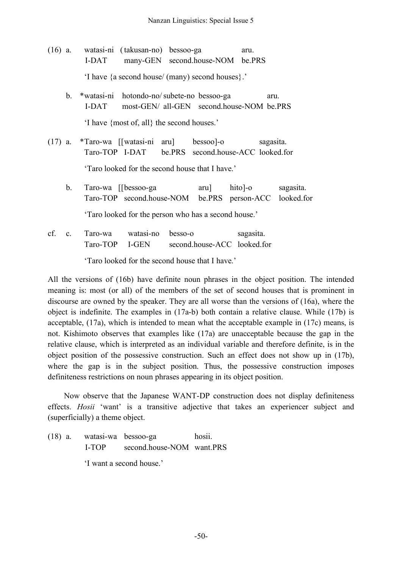- (16) a. watasi-ni (takusan-no) bessoo-ga aru. I-DAT many-GEN second.house-NOM be.PRS 'I have {a second house/ (many) second houses}.'
	- b. \*watasi-ni hotondo-no/subete-no bessoo-ga aru. I-DAT most-GEN/ all-GEN second.house-NOM be.PRS 'I have {most of, all} the second houses.'
- (17) a. \*Taro-wa [[watasi-ni aru] bessoo]-o sagasita. Taro-TOP I-DAT be.PRS second.house-ACC looked.for 'Taro looked for the second house that I have.'
	- b. Taro-wa [[bessoo-ga aru] hito]-o sagasita. Taro-TOP second.house-NOM be.PRS person-ACC looked.for 'Taro looked for the person who has a second house.'
- cf. c. Taro-wa watasi-no besso-o sagasita. Taro-TOP I-GEN second.house-ACC looked.for

'Taro looked for the second house that I have.'

All the versions of (16b) have definite noun phrases in the object position. The intended meaning is: most (or all) of the members of the set of second houses that is prominent in discourse are owned by the speaker. They are all worse than the versions of (16a), where the object is indefinite. The examples in (17a-b) both contain a relative clause. While (17b) is acceptable, (17a), which is intended to mean what the acceptable example in (17c) means, is not. Kishimoto observes that examples like (17a) are unacceptable because the gap in the relative clause, which is interpreted as an individual variable and therefore definite, is in the object position of the possessive construction. Such an effect does not show up in (17b), where the gap is in the subject position. Thus, the possessive construction imposes definiteness restrictions on noun phrases appearing in its object position.

Now observe that the Japanese WANT-DP construction does not display definiteness effects. *Hosii* 'want' is a transitive adjective that takes an experiencer subject and (superficially) a theme object.

(18) a. watasi-wa bessoo-ga hosii. I-TOP second.house-NOM want.PRS 'I want a second house.'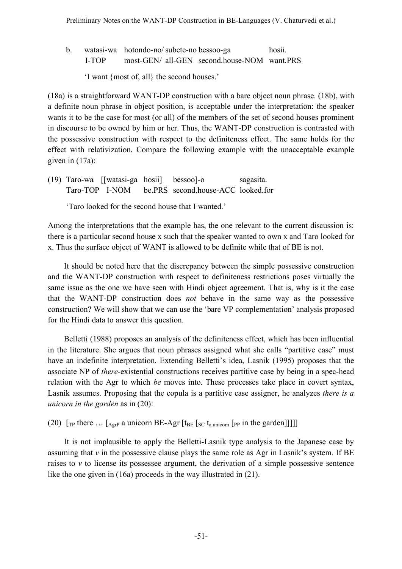b. watasi-wa hotondo-no/subete-no bessoo-ga hosii. I-TOP most-GEN/ all-GEN second.house-NOM want.PRS

'I want {most of, all} the second houses.'

(18a) is a straightforward WANT-DP construction with a bare object noun phrase. (18b), with a definite noun phrase in object position, is acceptable under the interpretation: the speaker wants it to be the case for most (or all) of the members of the set of second houses prominent in discourse to be owned by him or her. Thus, the WANT-DP construction is contrasted with the possessive construction with respect to the definiteness effect. The same holds for the effect with relativization. Compare the following example with the unacceptable example given in (17a):

(19) Taro-wa [[watasi-ga hosii] bessoo]-o sagasita. Taro-TOP I-NOM be.PRS second.house-ACC looked.for

'Taro looked for the second house that I wanted.'

Among the interpretations that the example has, the one relevant to the current discussion is: there is a particular second house x such that the speaker wanted to own x and Taro looked for x. Thus the surface object of WANT is allowed to be definite while that of BE is not.

It should be noted here that the discrepancy between the simple possessive construction and the WANT-DP construction with respect to definiteness restrictions poses virtually the same issue as the one we have seen with Hindi object agreement. That is, why is it the case that the WANT-DP construction does *not* behave in the same way as the possessive construction? We will show that we can use the 'bare VP complementation' analysis proposed for the Hindi data to answer this question.

Belletti (1988) proposes an analysis of the definiteness effect, which has been influential in the literature. She argues that noun phrases assigned what she calls "partitive case" must have an indefinite interpretation. Extending Belletti's idea, Lasnik (1995) proposes that the associate NP of *there*-existential constructions receives partitive case by being in a spec-head relation with the Agr to which *be* moves into. These processes take place in covert syntax, Lasnik assumes. Proposing that the copula is a partitive case assigner, he analyzes *there is a unicorn in the garden* as in (20):

(20)  $\lbrack \lbrack \rbrack$  [TP there  $\ldots \lbrack \lbrack \rbrack$  a unicorn BE-Agr  $\lbrack \rbrack$  [t<sub>BE</sub>  $\lbrack \rbrack$ sc t<sub>a unicorn</sub>  $\lbrack \rbrack$  pp in the garden]]]]]

It is not implausible to apply the Belletti-Lasnik type analysis to the Japanese case by assuming that  $\nu$  in the possessive clause plays the same role as Agr in Lasnik's system. If BE raises to *v* to license its possessee argument, the derivation of a simple possessive sentence like the one given in (16a) proceeds in the way illustrated in (21).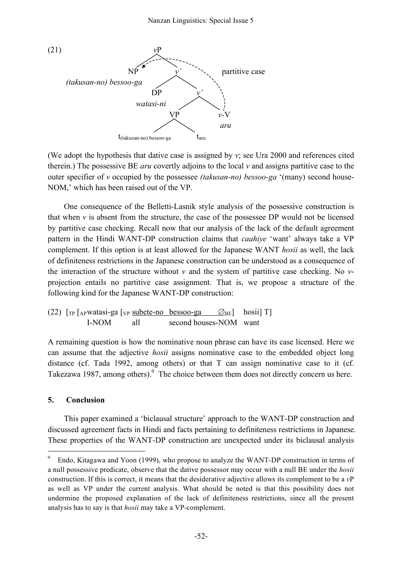

(We adopt the hypothesis that dative case is assigned by *v*; see Ura 2000 and references cited therein.) The possessive BE *aru* covertly adjoins to the local *v* and assigns partitive case to the outer specifier of *v* occupied by the possessee *(takusan-no) bessoo-ga* '(many) second house-NOM,' which has been raised out of the VP.

One consequence of the Belletti-Lasnik style analysis of the possessive construction is that when  $\nu$  is absent from the structure, the case of the possessee DP would not be licensed by partitive case checking. Recall now that our analysis of the lack of the default agreement pattern in the Hindi WANT-DP construction claims that *caahiye* 'want' always take a VP complement. If this option is at least allowed for the Japanese WANT *hosii* as well, the lack of definiteness restrictions in the Japanese construction can be understood as a consequence of the interaction of the structure without *v* and the system of partitive case checking. No *v*projection entails no partitive case assignment. That is, we propose a structure of the following kind for the Japanese WANT-DP construction:

(22) 
$$
[\text{TP} \left[ \text{APwatasi-ga } \left[ \text{VP} \frac{\text{subete-no } \text{bessoo-ga}}{\text{as good } \text{fobs}} \right] \right]
$$
  $[\text{NOM} \left[ \text{all} \right]$   $[\text{second houses-NOM} \left[ \text{want} \right]$ 

A remaining question is how the nominative noun phrase can have its case licensed. Here we can assume that the adjective *hosii* assigns nominative case to the embedded object long distance (cf. Tada 1992, among others) or that T can assign nominative case to it (cf. Takezawa 1987, among others). <sup>9</sup> The choice between them does not directly concern us here.

### **5. Conclusion**

This paper examined a 'biclausal structure' approach to the WANT-DP construction and discussed agreement facts in Hindi and facts pertaining to definiteness restrictions in Japanese. These properties of the WANT-DP construction are unexpected under its biclausal analysis

 <sup>9</sup> Endo, Kitagawa and Yoon (1999), who propose to analyze the WANT-DP construction in terms of a null possessive predicate, observe that the dative possessor may occur with a null BE under the *hosii* construction. If this is correct, it means that the desiderative adjective allows its complement to be a *v*P as well as VP under the current analysis. What should be noted is that this possibility does not undermine the proposed explanation of the lack of definiteness restrictions, since all the present analysis has to say is that *hosii* may take a VP-complement.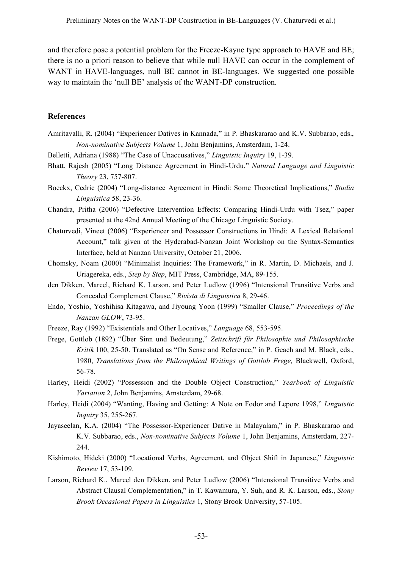and therefore pose a potential problem for the Freeze-Kayne type approach to HAVE and BE; there is no a priori reason to believe that while null HAVE can occur in the complement of WANT in HAVE-languages, null BE cannot in BE-languages. We suggested one possible way to maintain the 'null BE' analysis of the WANT-DP construction.

#### **References**

Amritavalli, R. (2004) "Experiencer Datives in Kannada," in P. Bhaskararao and K.V. Subbarao, eds., *Non-nominative Subjects Volume* 1, John Benjamins, Amsterdam, 1-24.

Belletti, Adriana (1988) "The Case of Unaccusatives," *Linguistic Inquiry* 19, 1-39.

- Bhatt, Rajesh (2005) "Long Distance Agreement in Hindi-Urdu," *Natural Language and Linguistic Theory* 23, 757-807.
- Boeckx, Cedric (2004) "Long-distance Agreement in Hindi: Some Theoretical Implications," *Studia Linguistica* 58, 23-36.
- Chandra, Pritha (2006) "Defective Intervention Effects: Comparing Hindi-Urdu with Tsez," paper presented at the 42nd Annual Meeting of the Chicago Linguistic Society.
- Chaturvedi, Vineet (2006) "Experiencer and Possessor Constructions in Hindi: A Lexical Relational Account," talk given at the Hyderabad-Nanzan Joint Workshop on the Syntax-Semantics Interface, held at Nanzan University, October 21, 2006.
- Chomsky, Noam (2000) "Minimalist Inquiries: The Framework," in R. Martin, D. Michaels, and J. Uriagereka, eds., *Step by Step*, MIT Press, Cambridge, MA, 89-155.
- den Dikken, Marcel, Richard K. Larson, and Peter Ludlow (1996) "Intensional Transitive Verbs and Concealed Complement Clause," *Rivista di Linguistica* 8, 29-46.
- Endo, Yoshio, Yoshihisa Kitagawa, and Jiyoung Yoon (1999) "Smaller Clause," *Proceedings of the Nanzan GLOW*, 73-95.
- Freeze, Ray (1992) "Existentials and Other Locatives," *Language* 68, 553-595.
- Frege, Gottlob (1892) "Über Sinn und Bedeutung," *Zeitschrift für Philosophie und Philosophische Kritik* 100, 25-50. Translated as "On Sense and Reference," in P. Geach and M. Black, eds., 1980, *Translations from the Philosophical Writings of Gottlob Frege,* Blackwell, Oxford, 56-78.
- Harley, Heidi (2002) "Possession and the Double Object Construction," *Yearbook of Linguistic Variation* 2, John Benjamins, Amsterdam, 29-68.
- Harley, Heidi (2004) "Wanting, Having and Getting: A Note on Fodor and Lepore 1998," *Linguistic Inquiry* 35, 255-267.
- Jayaseelan, K.A. (2004) "The Possessor-Experiencer Dative in Malayalam," in P. Bhaskararao and K.V. Subbarao, eds., *Non-nominative Subjects Volume* 1, John Benjamins, Amsterdam, 227- 244.
- Kishimoto, Hideki (2000) "Locational Verbs, Agreement, and Object Shift in Japanese," *Linguistic Review* 17, 53-109.
- Larson, Richard K., Marcel den Dikken, and Peter Ludlow (2006) "Intensional Transitive Verbs and Abstract Clausal Complementation," in T. Kawamura, Y. Suh, and R. K. Larson, eds., *Stony Brook Occasional Papers in Linguistics* 1, Stony Brook University, 57-105.